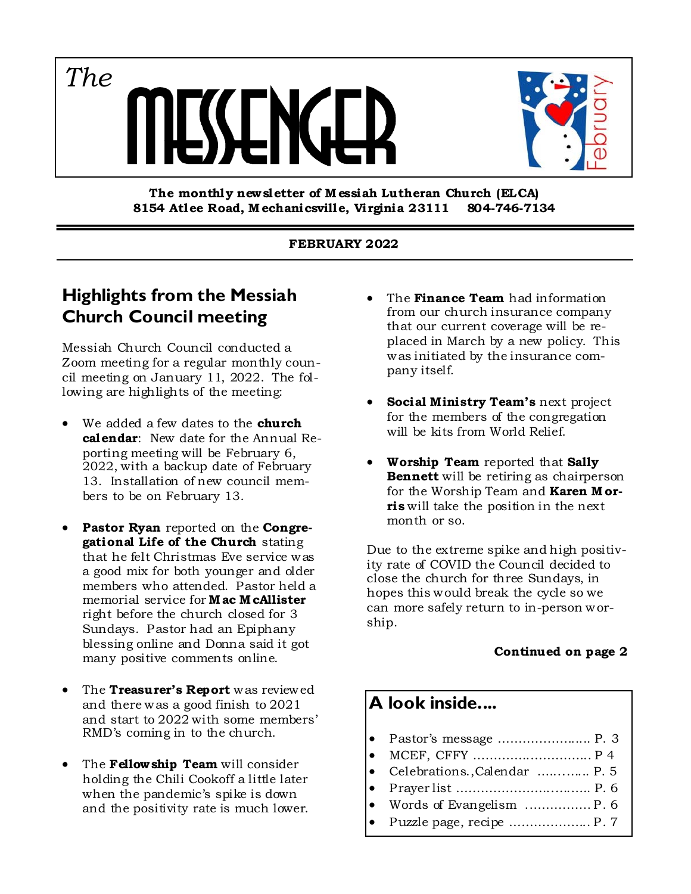*The*



**The monthly new sletter of M essiah Lutheran Church (ELCA) 8154 Atlee Road, M echanicsville, Virginia 23111 804-746-7134** 

#### **FEBRUARY 2022**

### **Highlights from the Messiah Church Council meeting**

Messiah Church Council conducted a Zoom meeting for a regular monthly council meeting on January 11, 2022. The following are highlights of the meeting:

- We added a few dates to the **church calendar**: New date for the Annual Reporting meeting will be February 6, 2022, with a backup date of February 13. Installation of new council members to be on February 13.
- **Pastor Ryan** reported on the **Congregational Life of the Church** stating that he felt Christmas Eve service was a good mix for both younger and older members who attended. Pastor held a memorial service for **M ac M cAllister**  right before the church closed for 3 Sundays. Pastor had an Epiphany blessing online and Donna said it got many positive comments online.
- The **Treasurer's Report** was reviewed and there was a good finish to 2021 and start to 2022 with some members' RMD's coming in to the church.
- The **Fellow ship Team** will consider holding the Chili Cookoff a little later when the pandemic's spike is down and the positivity rate is much lower.
- The **Finance Team** had information from our church insurance company that our current coverage will be replaced in March by a new policy. This was initiated by the insurance company itself.
- **Social Ministry Team's** next project for the members of the congregation will be kits from World Relief.
- **Worship Team** reported that **Sally Bennett** will be retiring as chairperson for the Worship Team and **Karen M orris** will take the position in the next month or so.

Due to the extreme spike and high positivity rate of COVID the Council decided to close the church for three Sundays, in hopes this would break the cycle so we can more safely return to in-person worship.

#### **Continued on page 2**

### **A look inside....**

- Pastor's message ………………..... P. 3
- MCEF, CFFY …………..…………... P 4
- Celebrations.,Calendar …....…... P. 5
- Prayer list …………………...….….. P. 6
- Words of Evangelism .…………… P. 6
- Puzzle page, recipe ……………….. P. 7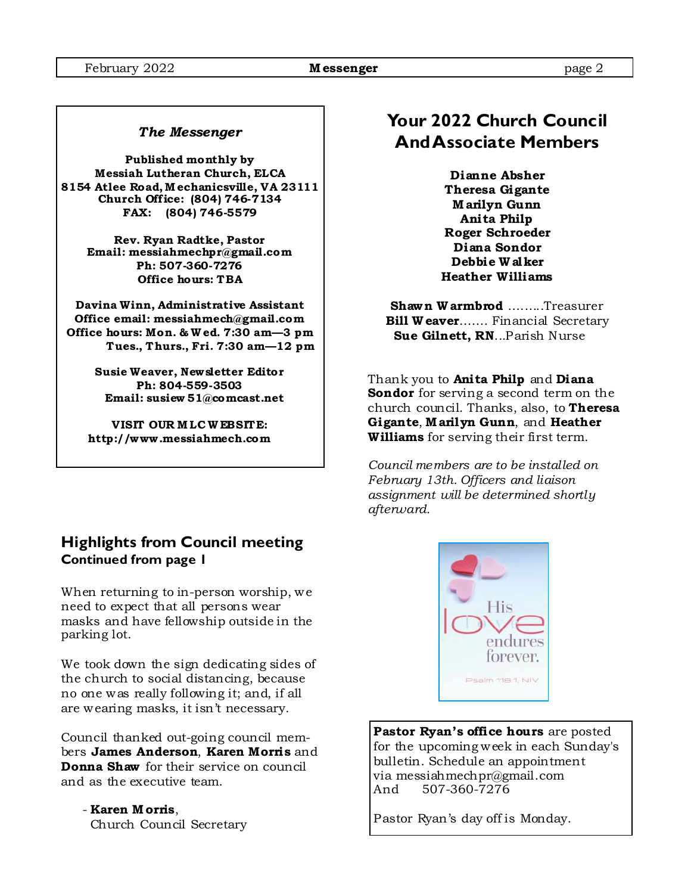#### *The Messenger*

**Published monthly by Messiah Lutheran Church, ELCA 8154 Atlee Road, M echanicsville, VA 23111 Church Off ice: (804) 746-7134 FAX: (804) 746-5579** 

> **Rev. Ryan Radtke, Pastor Email: messiahmechpr@gmail.com Ph: 507-360-7276 Office hours: TBA**

**Davina Winn, Administrative Assistant Office email: messiahmech@gmail.com Office hours: Mon. & W ed. 7:30 am—3 pm Tues., Thurs., Fri. 7:30 am—12 pm** 

> **Susie Weaver, Newsletter Editor Ph: 804-559-3503 Email: susiew 51@comcast.net**

**VISIT OUR M LC W EBSITE: http://www .messiahmech.com** 

#### **Highlights from Council meeting Continued from page 1**

When returning to in-person worship, we need to expect that all persons wear masks and have fellowship outside in the parking lot.

We took down the sign dedicating sides of the church to social distancing, because no one was really following it; and, if all are wearing masks, it isn't necessary.

Council thanked out-going council members **James Anderson**, **Karen Morris** and **Donna Shaw** for their service on council and as the executive team.

 - **Karen M orris**, Church Council Secretary

### **Your 2022 Church Council And Associate Members**

**Dianne Absher Theresa Gigante M arilyn Gunn Anita Philp Roger Schroeder Diana Sondor Debbie W alker Heather Williams** 

**Shawn W armbrod** ….…..Treasurer **Bill W eaver…….** Financial Secretary  **Sue Gilnett, RN**...Parish Nurse

Thank you to **Anita Philp** and **Diana Sondor** for serving a second term on the church council. Thanks, also, to **Theresa Gigante**, **M arilyn Gunn**, and **Heather Williams** for serving their first term.

*Council members are to be installed on February 13th. Officers and liaison assignment will be determined shortly afterward.* 



**Pastor Ryan's office hours** are posted for the upcoming week in each Sunday's bulletin. Schedule an appointment via messiahmechpr@gmail.com<br>And 507-360-7276 507-360-7276

Pastor Ryan's day off is Monday.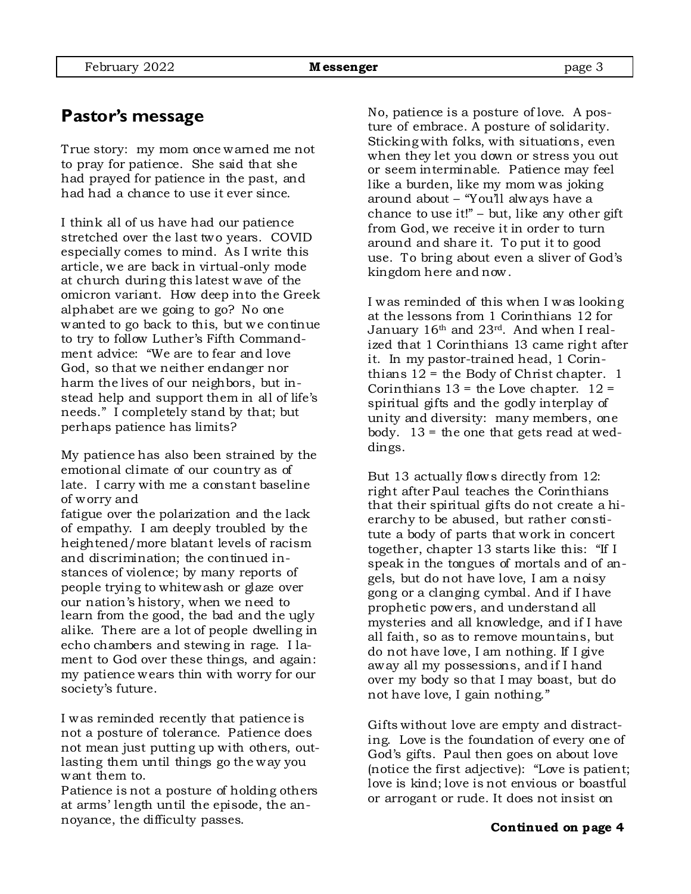### **Pastor's message**

True story: my mom once warned me not to pray for patience. She said that she had prayed for patience in the past, and had had a chance to use it ever since.

I think all of us have had our patience stretched over the last two years. COVID especially comes to mind. As I write this article, we are back in virtual-only mode at church during this latest wave of the omicron variant. How deep into the Greek alphabet are we going to go? No one wanted to go back to this, but we continue to try to follow Luther's Fifth Commandment advice: "We are to fear and love God, so that we neither endanger nor harm the lives of our neighbors, but instead help and support them in all of life's needs." I completely stand by that; but perhaps patience has limits?

My patience has also been strained by the emotional climate of our country as of late. I carry with me a constant baseline of worry and

fatigue over the polarization and the lack of empathy. I am deeply troubled by the heightened/more blatant levels of racism and discrimination; the continued instances of violence; by many reports of people trying to whitewash or glaze over our nation's history, when we need to learn from the good, the bad and the ugly alike. There are a lot of people dwelling in echo chambers and stewing in rage. I lament to God over these things, and again: my patience wears thin with worry for our society's future.

I was reminded recently that patience is not a posture of tolerance. Patience does not mean just putting up with others, outlasting them until things go the way you want them to.

Patience is not a posture of holding others at arms' length until the episode, the annoyance, the difficulty passes.

No, patience is a posture of love. A posture of embrace. A posture of solidarity. Sticking with folks, with situations, even when they let you down or stress you out or seem interminable. Patience may feel like a burden, like my mom was joking around about – "You'll always have a chance to use it!" – but, like any other gift from God, we receive it in order to turn around and share it. To put it to good use. To bring about even a sliver of God's kingdom here and now.

I was reminded of this when I was looking at the lessons from 1 Corinthians 12 for January 16<sup>th</sup> and 23<sup>rd</sup>. And when I realized that 1 Corinthians 13 came right after it. In my pastor-trained head, 1 Corinthians  $12 =$  the Body of Christ chapter. 1 Corinthians  $13 =$  the Love chapter.  $12 =$ spiritual gifts and the godly interplay of unity and diversity: many members, one body.  $13 =$  the one that gets read at weddings.

But 13 actually flows directly from 12: right after Paul teaches the Corinthians that their spiritual gifts do not create a hierarchy to be abused, but rather constitute a body of parts that work in concert together, chapter 13 starts like this: "If I speak in the tongues of mortals and of angels, but do not have love, I am a noisy gong or a clanging cymbal. And if I have prophetic powers, and understand all mysteries and all knowledge, and if I have all faith, so as to remove mountains, but do not have love, I am nothing. If I give away all my possessions, and if I hand over my body so that I may boast, but do not have love, I gain nothing."

Gifts without love are empty and distracting. Love is the foundation of every one of God's gifts. Paul then goes on about love (notice the first adjective): "Love is patient; love is kind; love is not envious or boastful or arrogant or rude. It does not insist on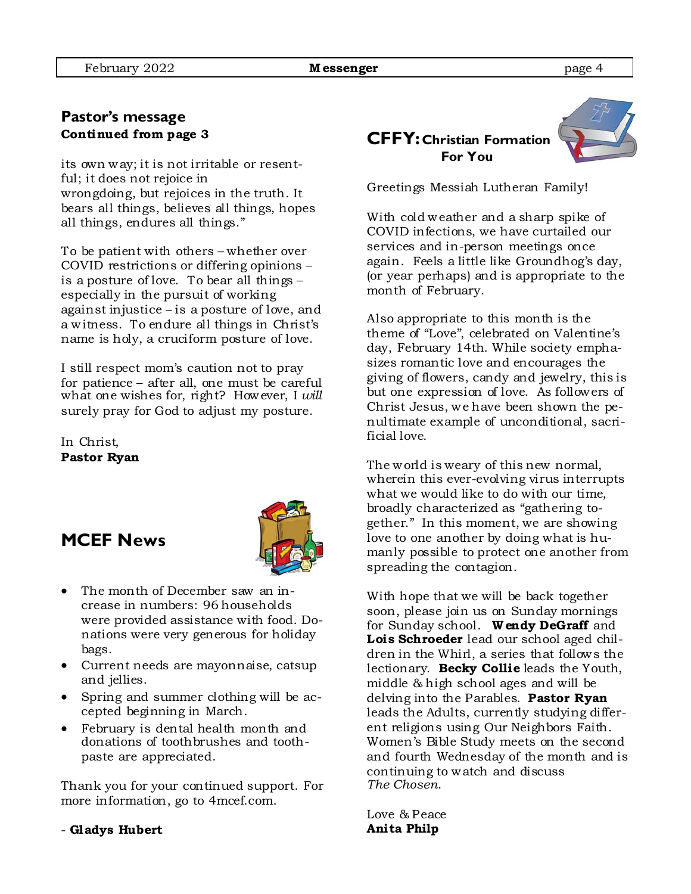#### **Pastor's message Continued from page 3**

its own way; it is not irritable or resentful; it does not rejoice in wrongdoing, but rejoices in the truth. It bears all things, believes all things, hopes all things, endures all things."

To be patient with others – whether over COVID restrictions or differing opinions – is a posture of love. To bear all things – especially in the pursuit of working against injustice – is a posture of love, and a witness. To endure all things in Christ's name is holy, a cruciform posture of love.

I still respect mom's caution not to pray for patience – after all, one must be careful what one wishes for, right? However, I *will* surely pray for God to adjust my posture.

In Christ, **Pastor Ryan** 

### **MCEF News**



- The month of December saw an increase in numbers: 96 households were provided assistance with food. Donations were very generous for holiday bags.
- Current needs are mayon naise, catsup and jellies.
- Spring and summer clothing will be accepted beginning in March.
- February is dental health month and donations of toothbrushes and toothpaste are appreciated.

Thank you for your continued support. For more information, go to 4mcef.com.

- **Gladys Hubert**

### **CFFY: Christian Formation For You**



Greetings Messiah Lutheran Family!

With cold weather and a sharp spike of COVID infections, we have curtailed our services and in-person meetings once again. Feels a little like Groundhog's day, (or year perhaps) and is appropriate to the month of February.

Also appropriate to this month is the theme of "Love", celebrated on Valentine's day, February 14th. While society emphasizes romantic love and encourages the giving of flowers, candy and jewelry, this is but one expression of love. As followers of Christ Jesus, we have been shown the penultimate example of unconditional, sacrificial love.

The world is weary of this new normal, wherein this ever-evolving virus interrupts what we would like to do with our time, broadly characterized as "gathering together." In this moment, we are showing love to one another by doing what is humanly possible to protect one another from spreading the contagion.

With hope that we will be back together soon, please join us on Sunday mornings for Sunday school. **W endy DeGraff** and **Lois Schroeder** lead our school aged children in the Whirl, a series that follows the lectionary. **Becky Collie** leads the Youth, middle & high school ages and will be delving into the Parables. **Pastor Ryan**  leads the Adults, currently studying different religions using Our Neighbors Faith. Women's Bible Study meets on the second and fourth Wednesday of the month and is continuing to watch and discuss *The Chosen*.

Love & Peace **Anita Philp**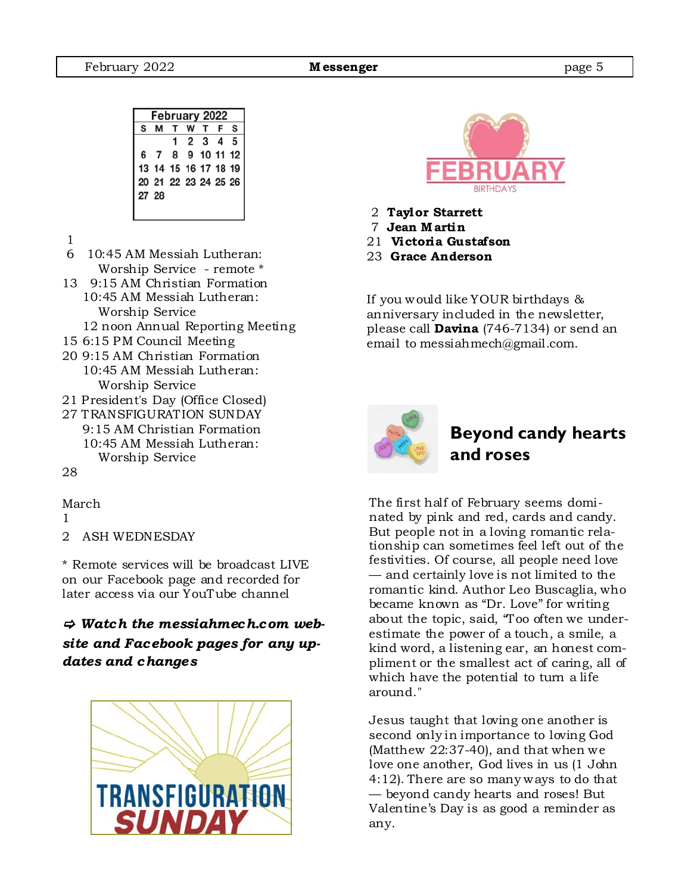| February 2022 |                      |  |           |  |  |   |
|---------------|----------------------|--|-----------|--|--|---|
| s             |                      |  | T W T F   |  |  | S |
|               |                      |  | 1 2 3 4 5 |  |  |   |
|               | 6 7 8 9 10 11 12     |  |           |  |  |   |
|               | 13 14 15 16 17 18 19 |  |           |  |  |   |
|               | 20 21 22 23 24 25 26 |  |           |  |  |   |
| 27 28         |                      |  |           |  |  |   |
|               |                      |  |           |  |  |   |

- 1
- 6 10:45 AM Messiah Lutheran: Worship Service - remote \*
- 13 9:15 AM Christian Formation 10:45 AM Messiah Lutheran: Worship Service
	- 12 noon Annual Reporting Meeting
- 15 6:15 PM Council Meeting
- 20 9:15 AM Christian Formation 10:45 AM Messiah Lutheran: Worship Service
- 21 President's Day (Office Closed)
- 27 TRANSFIGURATION SUNDAY 9:15 AM Christian Formation 10:45 AM Messiah Lutheran: Worship Service

#### 28

March

- 1
- 2 ASH WEDNESDAY

\* Remote services will be broadcast LIVE on our Facebook page and recorded for later access via our YouTube channel

### *Watch the messiahmech.com website and Facebook pages for any updates and changes*





- 2 **Taylor Starrett**
- 7 **Jean M artin**
- 21 **Victoria Gustafson**
- 23 **Grace Anderson**

If you would like YOUR birthdays & anniversary included in the newsletter, please call **Davina** (746-7134) or send an email to messiahmech@gmail.com.



### **Beyond candy hearts and roses**

The first half of February seems dominated by pink and red, cards and candy. But people not in a loving romantic relationship can sometimes feel left out of the festivities. Of course, all people need love — and certainly love is not limited to the romantic kind. Author Leo Buscaglia, who became known as "Dr. Love" for writing about the topic, said, "Too often we underestimate the power of a touch, a smile, a kind word, a listening ear, an honest compliment or the smallest act of caring, all of which have the potential to turn a life around."

Jesus taught that loving one another is second only in importance to loving God (Matthew 22:37-40), and that when we love one another, God lives in us (1 John 4:12). There are so many ways to do that — beyond candy hearts and roses! But Valentine's Day is as good a reminder as any.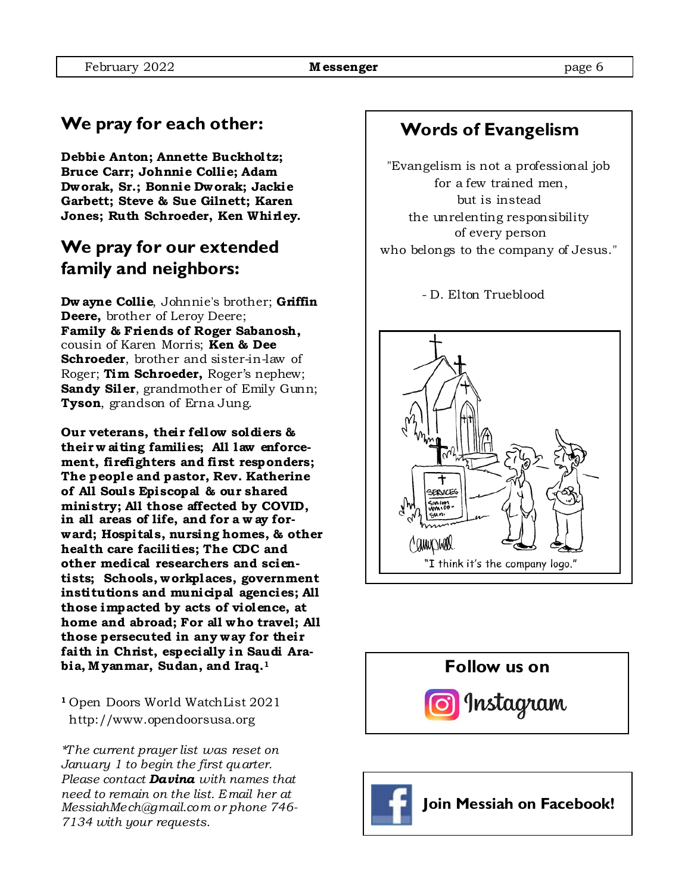# **We pray for each other:**

**Debbie Anton; Annette Buckholtz; Bruce Carr; Johnnie Collie; Adam Dworak, Sr.; Bonnie Dworak; Jackie Garbett; Steve & Sue Gilnett; Karen Jones; Ruth Schroeder, Ken Whirley.** 

### **We pray for our extended family and neighbors:**

**Dw ayne Collie**, Johnnie's brother; **Griffin Deere,** brother of Leroy Deere; **Family & Friends of Roger Sabanosh,**  cousin of Karen Morris; **Ken & Dee Schroeder**, brother and sister-in-law of Roger; **Tim Schroeder,** Roger's nephew; **Sandy Siler**, grandmother of Emily Gunn; **Tyson**, grandson of Erna Jung.

**Our veterans, their fellow soldiers & their w aiting families; All law enforcement, firefighters and first responders; The people and pastor, Rev. Katherine of All Soul s Episcopal & our shared ministry; All those affected by COVID, in all areas of life, and for a w ay forward; Hospital s, nursing homes, & other health care facilities; The CDC and other medical researchers and scientists; Schools, workplaces, government institutions and municipal agencies; All those impacted by acts of violence, at home and abroad; For all who travel; All those persecuted in any way for their faith in Christ, especially in Saudi Arabia, M yanmar, Sudan, and Iraq.1** 

**<sup>1</sup>**Open Doors World WatchList 2021 http://www.opendoorsusa.org

*\*The current prayer list was reset on January 1 to begin the first quarter. Please contact Davina with names that need to remain on the list. Email her at MessiahMech@gmail.com or phone 746- 7134 with your requests.* 

## **Words of Evangelism**

"Evangelism is not a professional job for a few trained men, but is instead the unrelenting responsibility of every person who belongs to the company of Jesus."

- D. Elton Trueblood





 **Follow us on** 

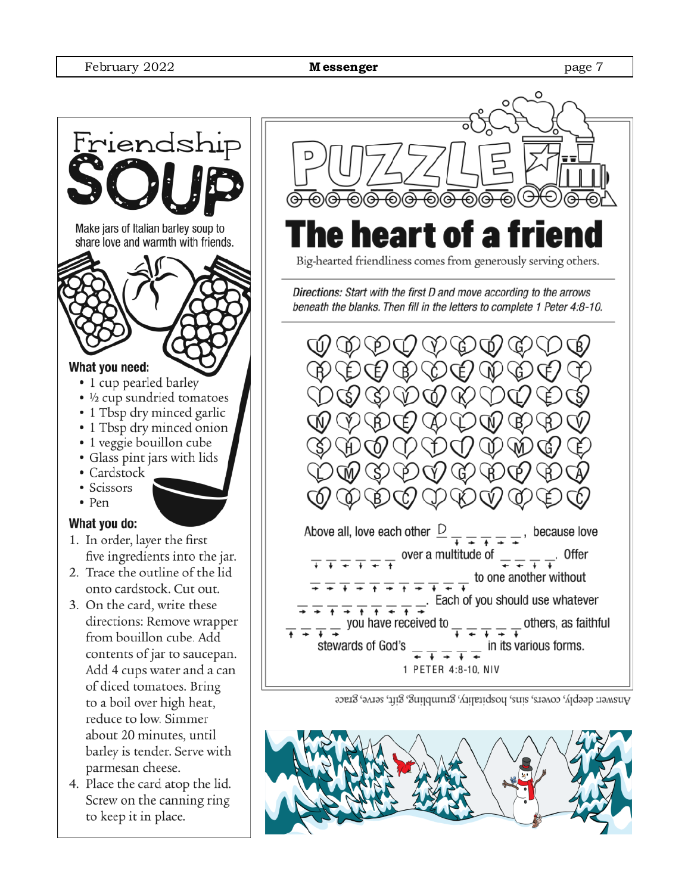

- reduce to low. Simmer about 20 minutes, until barley is tender. Serve with parmesan cheese.
- 4. Place the card atop the lid. Screw on the canning ring to keep it in place.



Answer: deeply, covers, sins, hospitality, grunbling, gift, serve, grace